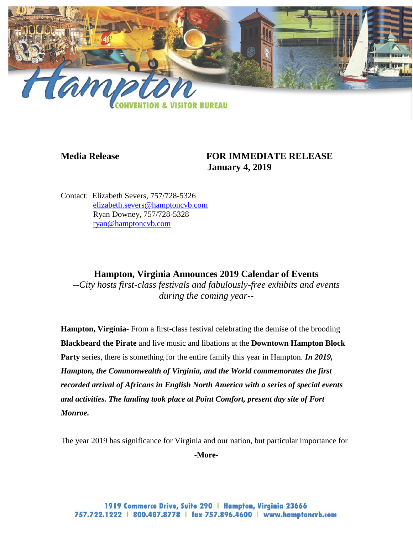

## **Media Release FOR IMMEDIATE RELEASE January 4, 2019**

Contact: Elizabeth Severs, 757/728-5326 [elizabeth.severs@hamptoncvb.com](mailto:elizabeth.severs@hamptoncvb.com) Ryan Downey, 757/728-5328 [ryan@hamptoncvb.com](mailto:ryan@hamptoncvb.com)

## **Hampton, Virginia Announces 2019 Calendar of Events**

*--City hosts first-class festivals and fabulously-free exhibits and events during the coming year--*

**Hampton, Virginia-** From a first-class festival celebrating the demise of the brooding **Blackbeard the Pirate** and live music and libations at the **Downtown Hampton Block Party** series, there is something for the entire family this year in Hampton. *In 2019, Hampton, the Commonwealth of Virginia, and the World commemorates the first recorded arrival of Africans in English North America with a series of special events and activities. The landing took place at Point Comfort, present day site of Fort Monroe.*

The year 2019 has significance for Virginia and our nation, but particular importance for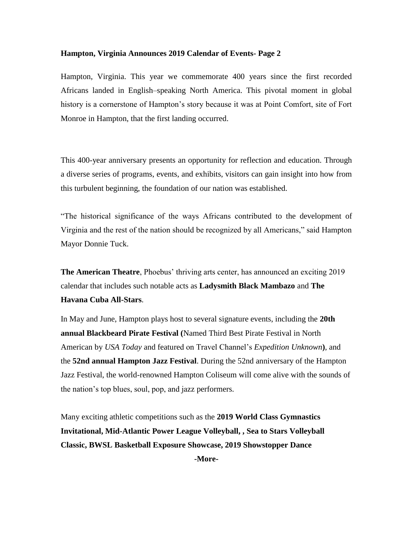Hampton, Virginia. This year we commemorate 400 years since the first recorded Africans landed in English–speaking North America. This pivotal moment in global history is a cornerstone of Hampton's story because it was at Point Comfort, site of Fort Monroe in Hampton, that the first landing occurred.

This 400-year anniversary presents an opportunity for reflection and education. Through a diverse series of programs, events, and exhibits, visitors can gain insight into how from this turbulent beginning, the foundation of our nation was established.

"The historical significance of the ways Africans contributed to the development of Virginia and the rest of the nation should be recognized by all Americans," said Hampton Mayor Donnie Tuck.

**The American Theatre**, Phoebus' thriving arts center, has announced an exciting 2019 calendar that includes such notable acts as **Ladysmith Black Mambazo** and **The Havana Cuba All-Stars**.

In May and June, Hampton plays host to several signature events, including the **20th annual Blackbeard Pirate Festival (**Named Third Best Pirate Festival in North American by *USA Today* and featured on Travel Channel's *Expedition Unknown***)**, and the **52nd annual Hampton Jazz Festival**. During the 52nd anniversary of the Hampton Jazz Festival, the world-renowned Hampton Coliseum will come alive with the sounds of the nation's top blues, soul, pop, and jazz performers.

Many exciting athletic competitions such as the **2019 World Class Gymnastics Invitational, Mid-Atlantic Power League Volleyball, , Sea to Stars Volleyball Classic, BWSL Basketball Exposure Showcase, 2019 Showstopper Dance**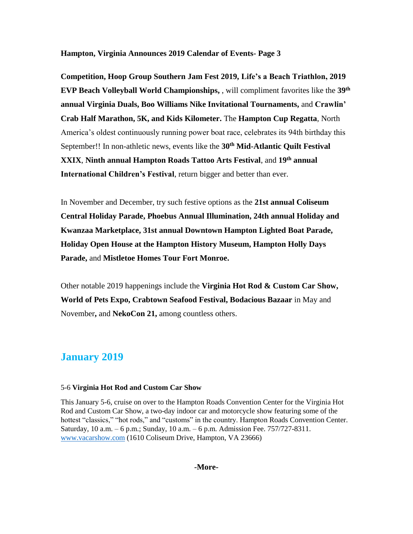**Competition, Hoop Group Southern Jam Fest 2019, Life's a Beach Triathlon, 2019 EVP Beach Volleyball World Championships,** , will compliment favorites like the **39th annual Virginia Duals, Boo Williams Nike Invitational Tournaments,** and **Crawlin' Crab Half Marathon, 5K, and Kids Kilometer.** The **Hampton Cup Regatta**, North America's oldest continuously running power boat race, celebrates its 94th birthday this September!! In non-athletic news, events like the **30th Mid-Atlantic Quilt Festival XXIX**, **Ninth annual Hampton Roads Tattoo Arts Festival**, and **19th annual International Children's Festival**, return bigger and better than ever.

In November and December, try such festive options as the **21st annual Coliseum Central Holiday Parade, Phoebus Annual Illumination, 24th annual Holiday and Kwanzaa Marketplace, 31st annual Downtown Hampton Lighted Boat Parade, Holiday Open House at the Hampton History Museum, Hampton Holly Days Parade,** and **Mistletoe Homes Tour Fort Monroe.**

Other notable 2019 happenings include the **Virginia Hot Rod & Custom Car Show, World of Pets Expo, Crabtown Seafood Festival, Bodacious Bazaar** in May and November**,** and **NekoCon 21,** among countless others.

## **January 2019**

#### 5-6 **Virginia Hot Rod and Custom Car Show**

This January 5-6, cruise on over to the Hampton Roads Convention Center for the Virginia Hot Rod and Custom Car Show, a two-day indoor car and motorcycle show featuring some of the hottest "classics," "hot rods," and "customs" in the country. Hampton Roads Convention Center. Saturday, 10 a.m. – 6 p.m.; Sunday, 10 a.m. – 6 p.m. Admission Fee. 757/727-8311. [www.vacarshow.com](http://www.vacarshow.com/) (1610 Coliseum Drive, Hampton, VA 23666)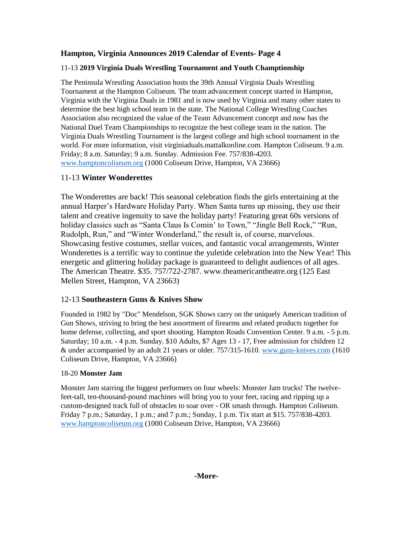## 11-13 **2019 Virginia Duals Wrestling Tournament and Youth Champtionship**

The Peninsula Wrestling Association hosts the 39th Annual Virginia Duals Wrestling Tournament at the Hampton Coliseum. The team advancement concept started in Hampton, Virginia with the Virginia Duals in 1981 and is now used by Virginia and many other states to determine the best high school team in the state. The National College Wrestling Coaches Association also recognized the value of the Team Advancement concept and now has the National Duel Team Championships to recognize the best college team in the nation. The Virginia Duals Wrestling Tournament is the largest college and high school tournament in the world. For more information, visit virginiaduals.mattalkonline.com. Hampton Coliseum. 9 a.m. Friday; 8 a.m. Saturday; 9 a.m. Sunday. Admission Fee. 757/838-4203. [www.hamptoncoliseum.org](http://www.hamptoncoliseum.org/) (1000 Coliseum Drive, Hampton, VA 23666)

## 11-13 **Winter Wonderettes**

The Wonderettes are back! This seasonal celebration finds the girls entertaining at the annual Harper's Hardware Holiday Party. When Santa turns up missing, they use their talent and creative ingenuity to save the holiday party! Featuring great 60s versions of holiday classics such as "Santa Claus Is Comin' to Town," "Jingle Bell Rock," "Run, Rudolph, Run," and "Winter Wonderland," the result is, of course, marvelous. Showcasing festive costumes, stellar voices, and fantastic vocal arrangements, Winter Wonderettes is a terrific way to continue the yuletide celebration into the New Year! This energetic and glittering holiday package is guaranteed to delight audiences of all ages. The American Theatre. \$35. 757/722-2787. www.theamericantheatre.org (125 East Mellen Street, Hampton, VA 23663)

## 12-13 **Southeastern Guns & Knives Show**

Founded in 1982 by "Doc" Mendelson, SGK Shows carry on the uniquely American tradition of Gun Shows, striving to bring the best assortment of firearms and related products together for home defense, collecting, and sport shooting. Hampton Roads Convention Center. 9 a.m. - 5 p.m. Saturday; 10 a.m. - 4 p.m. Sunday. \$10 Adults, \$7 Ages 13 - 17, Free admission for children 12 & under accompanied by an adult 21 years or older. 757/315-1610. [www.guns-knives.com](http://www.guns-knives.comn/) (1610 Coliseum Drive, Hampton, VA 23666)

#### 18-20 **Monster Jam**

Monster Jam starring the biggest performers on four wheels: Monster Jam trucks! The twelvefeet-tall, ten-thousand-pound machines will bring you to your feet, racing and ripping up a custom-designed track full of obstacles to soar over - OR smash through. Hampton Coliseum. Friday 7 p.m.; Saturday, 1 p.m.; and 7 p.m.; Sunday, 1 p.m. Tix start at \$15. 757/838-4203. [www.hamptoncoliseum.org](http://www.hamptoncoliseum.org/) (1000 Coliseum Drive, Hampton, VA 23666)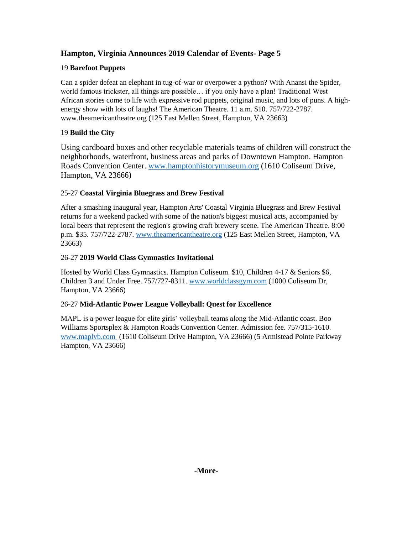## 19 **Barefoot Puppets**

Can a spider defeat an elephant in tug-of-war or overpower a python? With Anansi the Spider, world famous trickster, all things are possible… if you only have a plan! Traditional West African stories come to life with expressive rod puppets, original music, and lots of puns. A highenergy show with lots of laughs! The American Theatre. 11 a.m. \$10. 757/722-2787. www.theamericantheatre.org (125 East Mellen Street, Hampton, VA 23663)

## 19 **Build the City**

Using cardboard boxes and other recyclable materials teams of children will construct the neighborhoods, waterfront, business areas and parks of Downtown Hampton. Hampton Roads Convention Center. [www.hamptonhistorymuseum.org](http://www.hamptonhistorymuseum.org/) (1610 Coliseum Drive, Hampton, VA 23666)

## 25-27 **Coastal Virginia Bluegrass and Brew Festival**

After a smashing inaugural year, Hampton Arts' Coastal Virginia Bluegrass and Brew Festival returns for a weekend packed with some of the nation's biggest musical acts, accompanied by local beers that represent the region's growing craft brewery scene. The American Theatre. 8:00 p.m. \$35. 757/722-2787. www.theamericantheatre.org (125 East Mellen Street, Hampton, VA 23663)

#### 26-27 **2019 World Class Gymnastics Invitational**

Hosted by World Class Gymnastics. Hampton Coliseum. \$10, Children 4-17 & Seniors \$6, Children 3 and Under Free. 757/727-8311. [www.worldclassgym.com](http://www.worldclassgym.com/) (1000 Coliseum Dr, Hampton, VA 23666)

#### 26-27 **Mid-Atlantic Power League Volleyball: Quest for Excellence**

MAPL is a power league for elite girls' volleyball teams along the Mid-Atlantic coast. Boo Williams Sportsplex & Hampton Roads Convention Center. Admission fee. 757/315-1610. [www.maplvb.com](http://www.maplvb.com/) (1610 Coliseum Drive Hampton, VA 23666) (5 Armistead Pointe Parkway Hampton, VA 23666)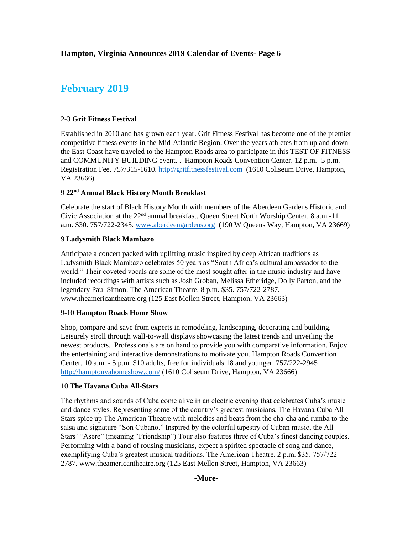## **February 2019**

#### 2-3 **Grit Fitness Festival**

Established in 2010 and has grown each year. Grit Fitness Festival has become one of the premier competitive fitness events in the Mid-Atlantic Region. Over the years athletes from up and down the East Coast have traveled to the Hampton Roads area to participate in this TEST OF FITNESS and COMMUNITY BUILDING event. . Hampton Roads Convention Center. 12 p.m.- 5 p.m. Registration Fee. 757/315-1610. http://gritfitnessfestival.com (1610 Coliseum Drive, Hampton, VA 23666)

#### 9 **22nd Annual Black History Month Breakfast**

Celebrate the start of Black History Month with members of the Aberdeen Gardens Historic and Civic Association at the  $22<sup>nd</sup>$  annual breakfast. Queen Street North Worship Center. 8 a.m.-11 a.m. \$30. 757/722-2345. [www.aberdeengardens.org](http://www.aberdeengardens.org/) (190 W Queens Way, Hampton, VA 23669)

#### 9 **Ladysmith Black Mambazo**

Anticipate a concert packed with uplifting music inspired by deep African traditions as Ladysmith Black Mambazo celebrates 50 years as "South Africa's cultural ambassador to the world." Their coveted vocals are some of the most sought after in the music industry and have included recordings with artists such as Josh Groban, Melissa Etheridge, Dolly Parton, and the legendary Paul Simon. The American Theatre. 8 p.m. \$35. 757/722-2787. www.theamericantheatre.org (125 East Mellen Street, Hampton, VA 23663)

#### 9-10 **Hampton Roads Home Show**

Shop, compare and save from experts in remodeling, landscaping, decorating and building. Leisurely stroll through wall-to-wall displays showcasing the latest trends and unveiling the newest products. Professionals are on hand to provide you with comparative information. Enjoy the entertaining and interactive demonstrations to motivate you. Hampton Roads Convention Center. 10 a.m. - 5 p.m. \$10 adults, free for individuals 18 and younger. 757/222-2945 <http://hamptonvahomeshow.com/> (1610 Coliseum Drive, Hampton, VA 23666)

#### 10 **The Havana Cuba All-Stars**

The rhythms and sounds of Cuba come alive in an electric evening that celebrates Cuba's music and dance styles. Representing some of the country's greatest musicians, The Havana Cuba All-Stars spice up The American Theatre with melodies and beats from the cha-cha and rumba to the salsa and signature "Son Cubano." Inspired by the colorful tapestry of Cuban music, the All-Stars' "Asere" (meaning "Friendship") Tour also features three of Cuba's finest dancing couples. Performing with a band of rousing musicians, expect a spirited spectacle of song and dance, exemplifying Cuba's greatest musical traditions. The American Theatre. 2 p.m. \$35. 757/722- 2787. www.theamericantheatre.org (125 East Mellen Street, Hampton, VA 23663)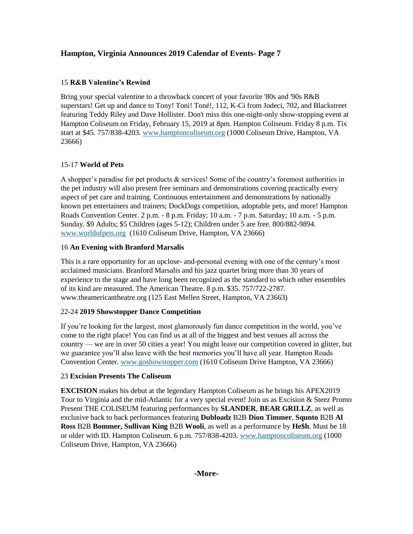## 15 **R&B Valentine's Rewind**

Bring your special valentine to a throwback concert of your favorite '80s and '90s R&B superstars! Get up and dance to Tony! Toni! Toné!, 112, K-Ci from Jodeci, 702, and Blackstreet featuring Teddy Riley and Dave Hollister. Don't miss this one-night-only show-stopping event at Hampton Coliseum on Friday, February 15, 2019 at 8pm. Hampton Coliseum. Friday 8 p.m. Tix start at \$45. 757/838-4203. [www.hamptoncoliseum.org](http://www.hamptoncoliseum.org/) (1000 Coliseum Drive, Hampton, VA 23666)

## 15-17 **World of Pets**

A shopper's paradise for pet products & services! Some of the country's foremost authorities in the pet industry will also present free seminars and demonstrations covering practically every aspect of pet care and training. Continuous entertainment and demonstrations by nationally known pet entertainers and trainers; DockDogs competition, adoptable pets, and more! Hampton Roads Convention Center. 2 p.m. - 8 p.m. Friday; 10 a.m. - 7 p.m. Saturday; 10 a.m. - 5 p.m. Sunday. \$9 Adults; \$5 Children (ages 5-12); Children under 5 are free. 800/882-9894. [www.worldofpets.org](http://www.worldofpets.org/) (1610 Coliseum Drive, Hampton, VA 23666)

## 16 **An Evening with Branford Marsalis**

This is a rare opportunity for an upclose- and-personal evening with one of the century's most acclaimed musicians. Branford Marsalis and his jazz quartet bring more than 30 years of experience to the stage and have long been recognized as the standard to which other ensembles of its kind are measured. The American Theatre. 8 p.m. \$35. 757/722-2787. www.theamericantheatre.org (125 East Mellen Street, Hampton, VA 23663)

## 22-24 **2019 Showstopper Dance Competition**

If you're looking for the largest, most glamorously fun dance competition in the world, you've come to the right place! You can find us at all of the biggest and best venues all across the country — we are in over 50 cities a year! You might leave our competition covered in glitter, but we guarantee you'll also leave with the best memories you'll have all year. Hampton Roads Convention Center. [www.goshowstopper.com](http://www.goshowstopper.com/) (1610 Coliseum Drive Hampton, VA 23666)

#### 23 **Excision Presents The Coliseum**

**EXCISION** makes his debut at the legendary Hampton Coliseum as he brings his APEX2019 Tour to Virginia and the mid-Atlantic for a very special event! Join us as Excision & Steez Promo Present THE COLISEUM featuring performances by **SLANDER**, **BEAR GRILLZ**, as well as exclusive back to back performances featuring **Dubloadz** B2B **Dion Timmer**, **Squnto** B2B **Al Ross** B2B **Bommer, Sullivan King** B2B **Wooli**, as well as a performance by **He\$h**. Must be 18 or older with ID. Hampton Coliseum. 6 p.m. 757/838-4203. [www.hamptoncoliseum.org](http://www.hamptoncoliseum.org/) (1000 Coliseum Drive, Hampton, VA 23666)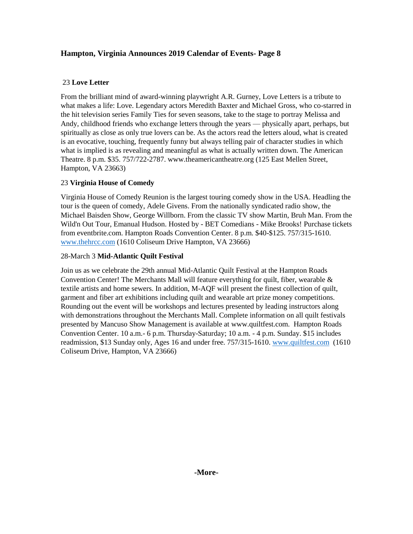## 23 **Love Letter**

From the brilliant mind of award-winning playwright A.R. Gurney, Love Letters is a tribute to what makes a life: Love. Legendary actors Meredith Baxter and Michael Gross, who co-starred in the hit television series Family Ties for seven seasons, take to the stage to portray Melissa and Andy, childhood friends who exchange letters through the years — physically apart, perhaps, but spiritually as close as only true lovers can be. As the actors read the letters aloud, what is created is an evocative, touching, frequently funny but always telling pair of character studies in which what is implied is as revealing and meaningful as what is actually written down. The American Theatre. 8 p.m. \$35. 757/722-2787. www.theamericantheatre.org (125 East Mellen Street, Hampton, VA 23663)

## 23 **Virginia House of Comedy**

Virginia House of Comedy Reunion is the largest touring comedy show in the USA. Headling the tour is the queen of comedy, Adele Givens. From the nationally syndicated radio show, the Michael Baisden Show, George Willborn. From the classic TV show Martin, Bruh Man. From the Wild'n Out Tour, Emanual Hudson. Hosted by - BET Comedians - Mike Brooks! Purchase tickets from eventbrite.com. Hampton Roads Convention Center. 8 p.m. \$40-\$125. 757/315-1610. [www.thehrcc.com](http://www.thehrcc.com/) (1610 Coliseum Drive Hampton, VA 23666)

## 28-March 3 **Mid-Atlantic Quilt Festival**

Join us as we celebrate the 29th annual Mid-Atlantic Quilt Festival at the Hampton Roads Convention Center! The Merchants Mall will feature everything for quilt, fiber, wearable  $\&$ textile artists and home sewers. In addition, M-AQF will present the finest collection of quilt, garment and fiber art exhibitions including quilt and wearable art prize money competitions. Rounding out the event will be workshops and lectures presented by leading instructors along with demonstrations throughout the Merchants Mall. Complete information on all quilt festivals presented by Mancuso Show Management is available at www.quiltfest.com. Hampton Roads Convention Center. 10 a.m.- 6 p.m. Thursday-Saturday; 10 a.m. - 4 p.m. Sunday. \$15 includes readmission, \$13 Sunday only, Ages 16 and under free. 757/315-1610. [www.quiltfest.com](http://www.quiltfest.com/) (1610 Coliseum Drive, Hampton, VA 23666)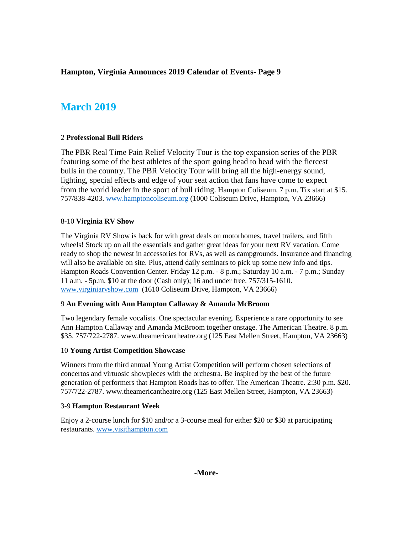## **March 2019**

#### 2 **Professional Bull Riders**

The PBR Real Time Pain Relief Velocity Tour is the top expansion series of the PBR featuring some of the best athletes of the sport going head to head with the fiercest bulls in the country. The PBR Velocity Tour will bring all the high-energy sound, lighting, special effects and edge of your seat action that fans have come to expect from the world leader in the sport of bull riding. Hampton Coliseum. 7 p.m. Tix start at \$15. 757/838-4203. [www.hamptoncoliseum.org](http://www.hamptoncoliseum.org/) (1000 Coliseum Drive, Hampton, VA 23666)

#### 8-10 **Virginia RV Show**

The Virginia RV Show is back for with great deals on motorhomes, travel trailers, and fifth wheels! Stock up on all the essentials and gather great ideas for your next RV vacation. Come ready to shop the newest in accessories for RVs, as well as campgrounds. Insurance and financing will also be available on site. Plus, attend daily seminars to pick up some new info and tips. Hampton Roads Convention Center. Friday 12 p.m. - 8 p.m.; Saturday 10 a.m. - 7 p.m.; Sunday 11 a.m. - 5p.m. \$10 at the door (Cash only); 16 and under free. 757/315-1610. [www.virginiarvshow.com](http://www.virginiarvshow.com/) (1610 Coliseum Drive, Hampton, VA 23666)

#### 9 **An Evening with Ann Hampton Callaway & Amanda McBroom**

Two legendary female vocalists. One spectacular evening. Experience a rare opportunity to see Ann Hampton Callaway and Amanda McBroom together onstage. The American Theatre. 8 p.m. \$35. 757/722-2787. www.theamericantheatre.org (125 East Mellen Street, Hampton, VA 23663)

#### 10 **Young Artist Competition Showcase**

Winners from the third annual Young Artist Competition will perform chosen selections of concertos and virtuosic showpieces with the orchestra. Be inspired by the best of the future generation of performers that Hampton Roads has to offer. The American Theatre. 2:30 p.m. \$20. 757/722-2787. www.theamericantheatre.org (125 East Mellen Street, Hampton, VA 23663)

#### 3-9 **Hampton Restaurant Week**

Enjoy a 2-course lunch for \$10 and/or a 3-course meal for either \$20 or \$30 at participating restaurants. [www.visithampton.com](http://www.visithampton.com/)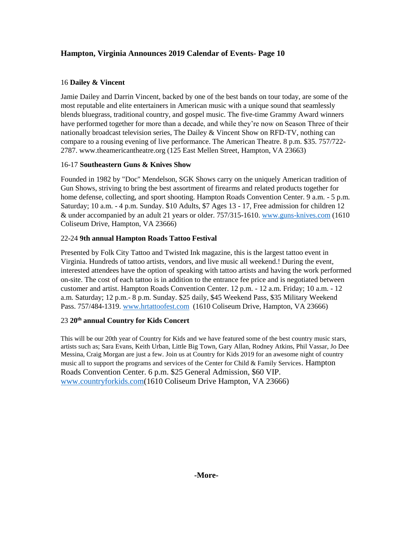## 16 **Dailey & Vincent**

Jamie Dailey and Darrin Vincent, backed by one of the best bands on tour today, are some of the most reputable and elite entertainers in American music with a unique sound that seamlessly blends bluegrass, traditional country, and gospel music. The five-time Grammy Award winners have performed together for more than a decade, and while they're now on Season Three of their nationally broadcast television series, The Dailey & Vincent Show on RFD-TV, nothing can compare to a rousing evening of live performance. The American Theatre. 8 p.m. \$35. 757/722- 2787. www.theamericantheatre.org (125 East Mellen Street, Hampton, VA 23663)

## 16-17 **Southeastern Guns & Knives Show**

Founded in 1982 by "Doc" Mendelson, SGK Shows carry on the uniquely American tradition of Gun Shows, striving to bring the best assortment of firearms and related products together for home defense, collecting, and sport shooting. Hampton Roads Convention Center. 9 a.m. - 5 p.m. Saturday; 10 a.m. - 4 p.m. Sunday. \$10 Adults, \$7 Ages 13 - 17, Free admission for children 12 & under accompanied by an adult 21 years or older. 757/315-1610. [www.guns-knives.com](http://www.guns-knives.comn/) (1610 Coliseum Drive, Hampton, VA 23666)

## 22-24 **9th annual Hampton Roads Tattoo Festival**

Presented by Folk City Tattoo and Twisted Ink magazine, this is the largest tattoo event in Virginia. Hundreds of tattoo artists, vendors, and live music all weekend.! During the event, interested attendees have the option of speaking with tattoo artists and having the work performed on-site. The cost of each tattoo is in addition to the entrance fee price and is negotiated between customer and artist. Hampton Roads Convention Center. 12 p.m. - 12 a.m. Friday; 10 a.m. - 12 a.m. Saturday; 12 p.m.- 8 p.m. Sunday. \$25 daily, \$45 Weekend Pass, \$35 Military Weekend Pass. 757/484-1319. [www.hrtattoofest.com](http://www.hrtattoofest.com/) (1610 Coliseum Drive, Hampton, VA 23666)

## 23 **20th annual Country for Kids Concert**

This will be our 20th year of Country for Kids and we have featured some of the best country music stars, artists such as; Sara Evans, Keith Urban, Little Big Town, Gary Allan, Rodney Atkins, Phil Vassar, Jo Dee Messina, Craig Morgan are just a few. Join us at Country for Kids 2019 for an awesome night of country music all to support the programs and services of the Center for Child & Family Services. Hampton Roads Convention Center. 6 p.m. \$25 General Admission, \$60 VIP. [www.countryforkids.com\(](http://www.countryforkids.com/)1610 Coliseum Drive Hampton, VA 23666)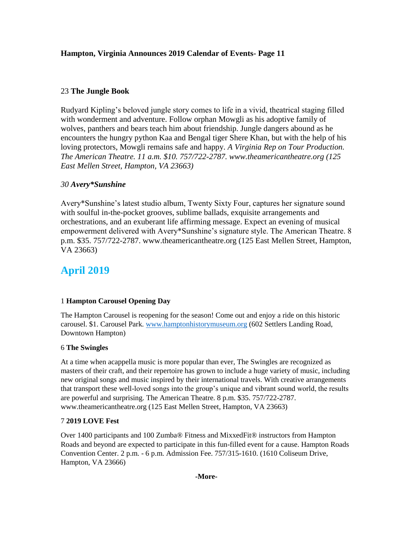## 23 **The Jungle Book**

Rudyard Kipling's beloved jungle story comes to life in a vivid, theatrical staging filled with wonderment and adventure. Follow orphan Mowgli as his adoptive family of wolves, panthers and bears teach him about friendship. Jungle dangers abound as he encounters the hungry python Kaa and Bengal tiger Shere Khan, but with the help of his loving protectors, Mowgli remains safe and happy. *A Virginia Rep on Tour Production. The American Theatre. 11 a.m. \$10. 757/722-2787. www.theamericantheatre.org (125 East Mellen Street, Hampton, VA 23663)*

## *30 Avery\*Sunshine*

Avery\*Sunshine's latest studio album, Twenty Sixty Four, captures her signature sound with soulful in-the-pocket grooves, sublime ballads, exquisite arrangements and orchestrations, and an exuberant life affirming message. Expect an evening of musical empowerment delivered with Avery\*Sunshine's signature style. The American Theatre. 8 p.m. \$35. 757/722-2787. www.theamericantheatre.org (125 East Mellen Street, Hampton, VA 23663)

## **April 2019**

## 1 **Hampton Carousel Opening Day**

The Hampton Carousel is reopening for the season! Come out and enjoy a ride on this historic carousel. \$1. Carousel Park. [www.hamptonhistorymuseum.org](http://www.hamptonhistorymuseum.org/) (602 Settlers Landing Road, Downtown Hampton)

#### 6 **The Swingles**

At a time when acappella music is more popular than ever, The Swingles are recognized as masters of their craft, and their repertoire has grown to include a huge variety of music, including new original songs and music inspired by their international travels. With creative arrangements that transport these well-loved songs into the group's unique and vibrant sound world, the results are powerful and surprising. The American Theatre. 8 p.m. \$35. 757/722-2787. www.theamericantheatre.org (125 East Mellen Street, Hampton, VA 23663)

## 7 **2019 LOVE Fest**

Over 1400 participants and 100 Zumba® Fitness and MixxedFit® instructors from Hampton Roads and beyond are expected to participate in this fun-filled event for a cause. Hampton Roads Convention Center. 2 p.m. - 6 p.m. Admission Fee. 757/315-1610. (1610 Coliseum Drive, Hampton, VA 23666)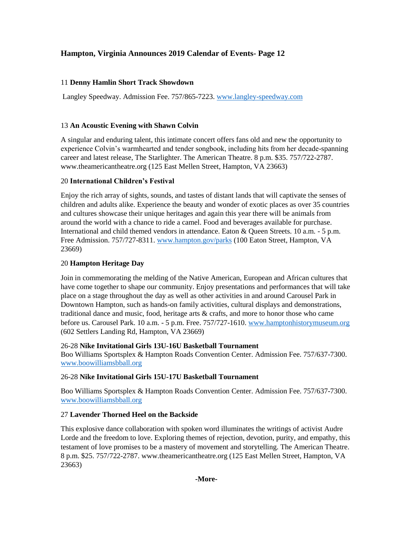## 11 **Denny Hamlin Short Track Showdown**

Langley Speedway. Admission Fee. 757/865-7223. [www.langley-speedway.com](http://www.langley-speedway.com/)

## 13 **An Acoustic Evening with Shawn Colvin**

A singular and enduring talent, this intimate concert offers fans old and new the opportunity to experience Colvin's warmhearted and tender songbook, including hits from her decade-spanning career and latest release, The Starlighter. The American Theatre. 8 p.m. \$35. 757/722-2787. www.theamericantheatre.org (125 East Mellen Street, Hampton, VA 23663)

## 20 **International Children's Festival**

Enjoy the rich array of sights, sounds, and tastes of distant lands that will captivate the senses of children and adults alike. Experience the beauty and wonder of exotic places as over 35 countries and cultures showcase their unique heritages and again this year there will be animals from around the world with a chance to ride a camel. Food and beverages available for purchase. International and child themed vendors in attendance. Eaton & Queen Streets. 10 a.m. - 5 p.m. Free Admission. 757/727-8311[. www.hampton.gov/parks](http://www.hampton.gov/parks) (100 Eaton Street, Hampton, VA 23669)

## 20 **Hampton Heritage Day**

Join in commemorating the melding of the Native American, European and African cultures that have come together to shape our community. Enjoy presentations and performances that will take place on a stage throughout the day as well as other activities in and around Carousel Park in Downtown Hampton, such as hands-on family activities, cultural displays and demonstrations, traditional dance and music, food, heritage arts & crafts, and more to honor those who came before us. Carousel Park. 10 a.m. - 5 p.m. Free. 757/727-1610. [www.hamptonhistorymuseum.org](http://www.hamptonhistorymuseum.org/) (602 Settlers Landing Rd, Hampton, VA 23669)

#### 26-28 **Nike Invitational Girls 13U-16U Basketball Tournament**

Boo Williams Sportsplex & Hampton Roads Convention Center. Admission Fee. 757/637-7300. [www.boowilliamsbball.org](http://www.boowilliamsbball.org/)

#### 26-28 **Nike Invitational Girls 15U-17U Basketball Tournament**

Boo Williams Sportsplex & Hampton Roads Convention Center. Admission Fee. 757/637-7300. [www.boowilliamsbball.org](http://www.boowilliamsbball.org/)

## 27 **Lavender Thorned Heel on the Backside**

This explosive dance collaboration with spoken word illuminates the writings of activist Audre Lorde and the freedom to love. Exploring themes of rejection, devotion, purity, and empathy, this testament of love promises to be a mastery of movement and storytelling. The American Theatre. 8 p.m. \$25. 757/722-2787. www.theamericantheatre.org (125 East Mellen Street, Hampton, VA 23663)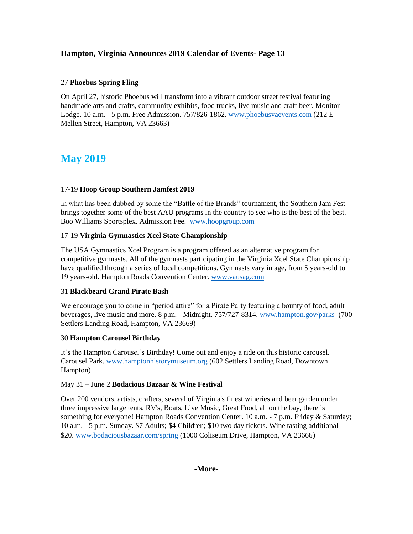#### 27 **Phoebus Spring Fling**

On April 27, historic Phoebus will transform into a vibrant outdoor street festival featuring handmade arts and crafts, community exhibits, food trucks, live music and craft beer. Monitor Lodge. 10 a.m. - 5 p.m. Free Admission. 757/826-1862[. www.phoebusvaevents.com](http://www.phoebusvaevents.com/) (212 E Mellen Street, Hampton, VA 23663)

## **May 2019**

#### 17-19 **Hoop Group Southern Jamfest 2019**

In what has been dubbed by some the "Battle of the Brands" tournament, the Southern Jam Fest brings together some of the best AAU programs in the country to see who is the best of the best. Boo Williams Sportsplex. Admission Fee. [www.hoopgroup.com](http://www.hoopgroup.com/)

#### 17-19 **Virginia Gymnastics Xcel State Championship**

The USA Gymnastics Xcel Program is a program offered as an alternative program for competitive gymnasts. All of the gymnasts participating in the Virginia Xcel State Championship have qualified through a series of local competitions. Gymnasts vary in age, from 5 years-old to 19 years-old. Hampton Roads Convention Center. [www.vausag.com](http://www.vausag.com/)

#### 31 **Blackbeard Grand Pirate Bash**

We encourage you to come in "period attire" for a Pirate Party featuring a bounty of food, adult beverages, live music and more. 8 p.m. - Midnight. 757/727-8314. [www.hampton.gov/parks](http://www.hampton.gov/parks) (700 Settlers Landing Road, Hampton, VA 23669)

#### 30 **Hampton Carousel Birthday**

It's the Hampton Carousel's Birthday! Come out and enjoy a ride on this historic carousel. Carousel Park. [www.hamptonhistorymuseum.org](http://www.hamptonhistorymuseum.org/) (602 Settlers Landing Road, Downtown Hampton)

#### May 31 – June 2 **Bodacious Bazaar & Wine Festival**

Over 200 vendors, artists, crafters, several of Virginia's finest wineries and beer garden under three impressive large tents. RV's, Boats, Live Music, Great Food, all on the bay, there is something for everyone! Hampton Roads Convention Center. 10 a.m. - 7 p.m. Friday & Saturday; 10 a.m. - 5 p.m. Sunday. \$7 Adults; \$4 Children; \$10 two day tickets. Wine tasting additional \$20. [www.bodaciousbazaar.com/spring](http://www.bodaciousbazaar.com/spring) (1000 Coliseum Drive, Hampton, VA 23666)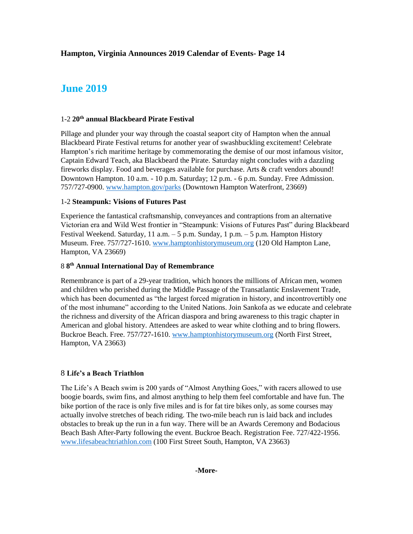## **June 2019**

#### 1-2 **20th annual Blackbeard Pirate Festival**

Pillage and plunder your way through the coastal seaport city of Hampton when the annual Blackbeard Pirate Festival returns for another year of swashbuckling excitement! Celebrate Hampton's rich maritime heritage by commemorating the demise of our most infamous visitor, Captain Edward Teach, aka Blackbeard the Pirate. Saturday night concludes with a dazzling fireworks display. Food and beverages available for purchase. Arts & craft vendors abound! Downtown Hampton. 10 a.m. - 10 p.m. Saturday; 12 p.m. - 6 p.m. Sunday. Free Admission. 757/727-0900. [www.hampton.gov/parks](http://www.hampton.gov/parks) (Downtown Hampton Waterfront, 23669)

#### 1-2 **Steampunk: Visions of Futures Past**

Experience the fantastical craftsmanship, conveyances and contraptions from an alternative Victorian era and Wild West frontier in "Steampunk: Visions of Futures Past" during Blackbeard Festival Weekend. Saturday, 11 a.m. – 5 p.m. Sunday, 1 p.m. – 5 p.m. Hampton History Museum. Free. 757/727-1610. [www.hamptonhistorymuseum.org](http://www.hamptonhistorymuseum.org/) (120 Old Hampton Lane, Hampton, VA 23669)

#### 8 **8 th Annual International Day of Remembrance**

Remembrance is part of a 29-year tradition, which honors the millions of African men, women and children who perished during the Middle Passage of the Transatlantic Enslavement Trade, which has been documented as "the largest forced migration in history, and incontrovertibly one of the most inhumane" according to the United Nations. Join Sankofa as we educate and celebrate the richness and diversity of the African diaspora and bring awareness to this tragic chapter in American and global history. Attendees are asked to wear white clothing and to bring flowers. Buckroe Beach. Free. 757/727-1610. [www.hamptonhistorymuseum.org](http://www.hamptonhistorymuseum.org/) (North First Street, Hampton, VA 23663)

#### 8 **Life's a Beach Triathlon**

The Life's A Beach swim is 200 yards of "Almost Anything Goes," with racers allowed to use boogie boards, swim fins, and almost anything to help them feel comfortable and have fun. The bike portion of the race is only five miles and is for fat tire bikes only, as some courses may actually involve stretches of beach riding. The two-mile beach run is laid back and includes obstacles to break up the run in a fun way. There will be an Awards Ceremony and Bodacious Beach Bash After-Party following the event. Buckroe Beach. Registration Fee. 727/422-1956. [www.lifesabeachtriathlon.com](http://www.lifesabeachtriathlon.com/) (100 First Street South, Hampton, VA 23663)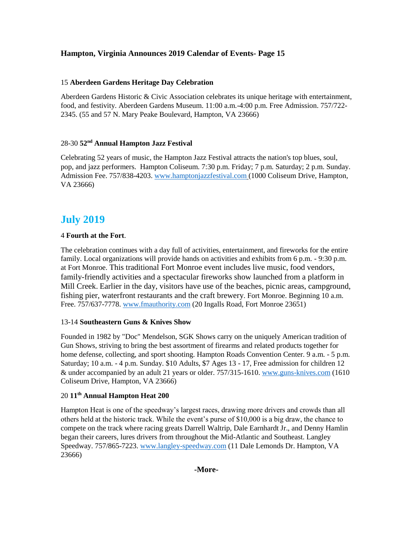#### 15 **Aberdeen Gardens Heritage Day Celebration**

Aberdeen Gardens Historic & Civic Association celebrates its unique heritage with entertainment, food, and festivity. Aberdeen Gardens Museum. 11:00 a.m.-4:00 p.m. Free Admission. 757/722- 2345. (55 and 57 N. Mary Peake Boulevard, Hampton, VA 23666)

#### 28-30 **52nd Annual Hampton Jazz Festival**

Celebrating 52 years of music, the Hampton Jazz Festival attracts the nation's top blues, soul, pop, and jazz performers. Hampton Coliseum. 7:30 p.m. Friday; 7 p.m. Saturday; 2 p.m. Sunday. Admission Fee. 757/838-4203. [www.hamptonjazzfestival.com](http://www.hamptonjazzfestival.com/) (1000 Coliseum Drive, Hampton, VA 23666)

## **July 2019**

#### 4 **Fourth at the Fort**.

The celebration continues with a day full of activities, entertainment, and fireworks for the entire family. Local organizations will provide hands on activities and exhibits from 6 p.m. - 9:30 p.m. at Fort Monroe. This traditional Fort Monroe event includes live music, food vendors, family-friendly activities and a spectacular fireworks show launched from a platform in Mill Creek. Earlier in the day, visitors have use of the beaches, picnic areas, campground, fishing pier, waterfront restaurants and the craft brewery. Fort Monroe. Beginning 10 a.m. Free. 757/637-7778. [www.fmauthority.com](http://www.fmauthority.com/) (20 Ingalls Road, Fort Monroe 23651)

#### 13-14 **Southeastern Guns & Knives Show**

Founded in 1982 by "Doc" Mendelson, SGK Shows carry on the uniquely American tradition of Gun Shows, striving to bring the best assortment of firearms and related products together for home defense, collecting, and sport shooting. Hampton Roads Convention Center. 9 a.m. - 5 p.m. Saturday; 10 a.m. - 4 p.m. Sunday. \$10 Adults, \$7 Ages 13 - 17, Free admission for children 12 & under accompanied by an adult 21 years or older. 757/315-1610. [www.guns-knives.com](http://www.guns-knives.comn/) (1610 Coliseum Drive, Hampton, VA 23666)

#### 20 **11th Annual Hampton Heat 200**

Hampton Heat is one of the speedway's largest races, drawing more drivers and crowds than all others held at the historic track. While the event's purse of \$10,000 is a big draw, the chance to compete on the track where racing greats Darrell Waltrip, Dale Earnhardt Jr., and Denny Hamlin began their careers, lures drivers from throughout the Mid-Atlantic and Southeast. Langley Speedway. 757/865-7223. [www.langley-speedway.com](http://www.langley-speedway.com/) (11 Dale Lemonds Dr. Hampton, VA 23666)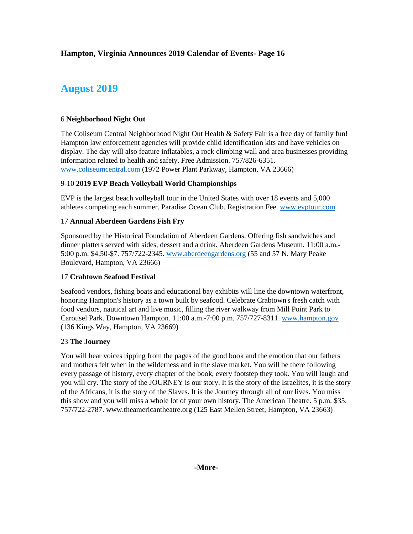## **August 2019**

#### 6 **Neighborhood Night Out**

The Coliseum Central Neighborhood Night Out Health & Safety Fair is a free day of family fun! Hampton law enforcement agencies will provide child identification kits and have vehicles on display. The day will also feature inflatables, a rock climbing wall and area businesses providing information related to health and safety. Free Admission. 757/826-6351. [www.coliseumcentral.com](http://www.coliseumcentral.com/) (1972 Power Plant Parkway, Hampton, VA 23666)

#### 9-10 **2019 EVP Beach Volleyball World Championships**

EVP is the largest beach volleyball tour in the United States with over 18 events and 5,000 athletes competing each summer. Paradise Ocean Club. Registration Fee. [www.evptour.com](http://www.evptour.com/)

#### 17 **Annual Aberdeen Gardens Fish Fry**

Sponsored by the Historical Foundation of Aberdeen Gardens. Offering fish sandwiches and dinner platters served with sides, dessert and a drink. Aberdeen Gardens Museum. 11:00 a.m.- 5:00 p.m. \$4.50-\$7. 757/722-2345[. www.aberdeengardens.org](http://www.aberdeengardens.org/) (55 and 57 N. Mary Peake Boulevard, Hampton, VA 23666)

#### 17 **Crabtown Seafood Festival**

Seafood vendors, fishing boats and educational bay exhibits will line the downtown waterfront, honoring Hampton's history as a town built by seafood. Celebrate Crabtown's fresh catch with food vendors, nautical art and live music, filling the river walkway from Mill Point Park to Carousel Park. Downtown Hampton. 11:00 a.m.-7:00 p.m. 757/727-8311. [www.hampton.gov](http://www.hampton.gov/) (136 Kings Way, Hampton, VA 23669)

#### 23 **The Journey**

You will hear voices ripping from the pages of the good book and the emotion that our fathers and mothers felt when in the wilderness and in the slave market. You will be there following every passage of history, every chapter of the book, every footstep they took. You will laugh and you will cry. The story of the JOURNEY is our story. It is the story of the Israelites, it is the story of the Africans, it is the story of the Slaves. It is the Journey through all of our lives. You miss this show and you will miss a whole lot of your own history. The American Theatre. 5 p.m. \$35. 757/722-2787. www.theamericantheatre.org (125 East Mellen Street, Hampton, VA 23663)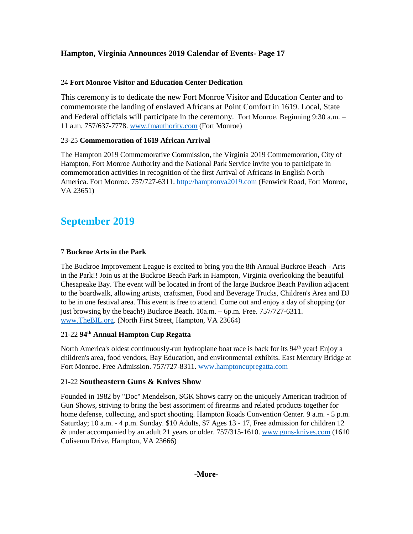### 24 **Fort Monroe Visitor and Education Center Dedication**

This ceremony is to dedicate the new Fort Monroe Visitor and Education Center and to commemorate the landing of enslaved Africans at Point Comfort in 1619. Local, State and Federal officials will participate in the ceremony. Fort Monroe. Beginning 9:30 a.m. – 11 a.m. 757/637-7778. [www.fmauthority.com](http://www.fmauthority.com/) (Fort Monroe)

## 23-25 **Commemoration of 1619 African Arrival**

The Hampton 2019 Commemorative Commission, the Virginia 2019 Commemoration, City of Hampton, Fort Monroe Authority and the National Park Service invite you to participate in commemoration activities in recognition of the first Arrival of Africans in English North America. Fort Monroe. 757/727-6311. [http://hamptonva2019.com](http://hamptonva2019.com/) (Fenwick Road, Fort Monroe, VA 23651)

## **September 2019**

## 7 **Buckroe Arts in the Park**

The Buckroe Improvement League is excited to bring you the 8th Annual Buckroe Beach - Arts in the Park!! Join us at the Buckroe Beach Park in Hampton, Virginia overlooking the beautiful Chesapeake Bay. The event will be located in front of the large Buckroe Beach Pavilion adjacent to the boardwalk, allowing artists, craftsmen, Food and Beverage Trucks, Children's Area and DJ to be in one festival area. This event is free to attend. Come out and enjoy a day of shopping (or just browsing by the beach!) Buckroe Beach. 10a.m. – 6p.m. Free. 757/727-6311. [www.TheBIL.org.](http://www.thebil.org/) (North First Street, Hampton, VA 23664)

## 21-22 **94th Annual Hampton Cup Regatta**

North America's oldest continuously-run hydroplane boat race is back for its 94<sup>th</sup> year! Enjoy a children's area, food vendors, Bay Education, and environmental exhibits. East Mercury Bridge at Fort Monroe. Free Admission. 757/727-8311. [www.hamptoncupregatta.com](http://www.hamptoncupregatta.com/)

## 21-22 **Southeastern Guns & Knives Show**

Founded in 1982 by "Doc" Mendelson, SGK Shows carry on the uniquely American tradition of Gun Shows, striving to bring the best assortment of firearms and related products together for home defense, collecting, and sport shooting. Hampton Roads Convention Center. 9 a.m. - 5 p.m. Saturday; 10 a.m. - 4 p.m. Sunday. \$10 Adults, \$7 Ages 13 - 17, Free admission for children 12 & under accompanied by an adult 21 years or older. 757/315-1610. [www.guns-knives.com](http://www.guns-knives.comn/) (1610 Coliseum Drive, Hampton, VA 23666)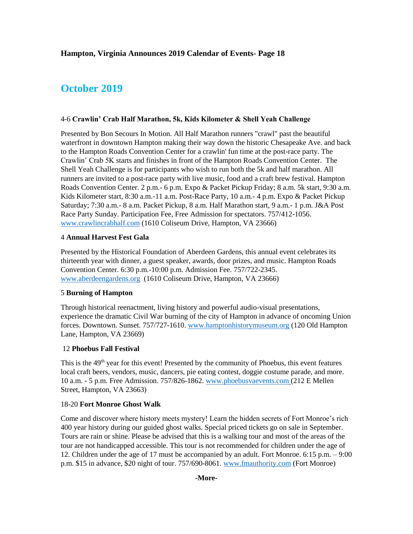## **October 2019**

#### 4-6 **Crawlin' Crab Half Marathon, 5k, Kids Kilometer & Shell Yeah Challenge**

Presented by Bon Secours In Motion. All Half Marathon runners "crawl" past the beautiful waterfront in downtown Hampton making their way down the historic Chesapeake Ave. and back to the Hampton Roads Convention Center for a crawlin' fun time at the post-race party. The Crawlin' Crab 5K starts and finishes in front of the Hampton Roads Convention Center. The Shell Yeah Challenge is for participants who wish to run both the 5k and half marathon. All runners are invited to a post-race party with live music, food and a craft brew festival. Hampton Roads Convention Center. 2 p.m.- 6 p.m. Expo & Packet Pickup Friday; 8 a.m. 5k start, 9:30 a.m. Kids Kilometer start, 8:30 a.m.-11 a.m. Post-Race Party, 10 a.m.- 4 p.m. Expo & Packet Pickup Saturday; 7:30 a.m.- 8 a.m. Packet Pickup, 8 a.m. Half Marathon start, 9 a.m.- 1 p.m. J&A Post Race Party Sunday. Participation Fee, Free Admission for spectators. 757/412-1056. [www.crawlincrabhalf.com](http://www.crawlincrabhalf.com/) (1610 Coliseum Drive, Hampton, VA 23666)

#### 4 **Annual Harvest Fest Gala**

Presented by the Historical Foundation of Aberdeen Gardens, this annual event celebrates its thirteenth year with dinner, a guest speaker, awards, door prizes, and music. Hampton Roads Convention Center. 6:30 p.m.-10:00 p.m. Admission Fee. 757/722-2345. [www.aberdeengardens.org](http://www.aberdeengardens.org/) (1610 Coliseum Drive, Hampton, VA 23666)

### 5 **Burning of Hampton**

Through historical reenactment, living history and powerful audio-visual presentations, experience the dramatic Civil War burning of the city of Hampton in advance of oncoming Union forces. Downtown. Sunset. 757/727-1610. [www.hamptonhistorymuseum.org](http://www.hamptonhistorymuseum.org/) (120 Old Hampton Lane, Hampton, VA 23669)

#### 12 **Phoebus Fall Festival**

This is the 49<sup>th</sup> year for this event! Presented by the community of Phoebus, this event features local craft beers, vendors, music, dancers, pie eating contest, doggie costume parade, and more. 10 a.m. - 5 p.m. Free Admission. 757/826-1862. [www.phoebusvaevents.com](http://www.phoebusvaevents.com/) (212 E Mellen Street, Hampton, VA 23663)

#### 18-20 **Fort Monroe Ghost Walk**

Come and discover where history meets mystery! Learn the hidden secrets of Fort Monroe's rich 400 year history during our guided ghost walks. Special priced tickets go on sale in September. Tours are rain or shine. Please be advised that this is a walking tour and most of the areas of the tour are not handicapped accessible. This tour is not recommended for children under the age of 12. Children under the age of 17 must be accompanied by an adult. Fort Monroe. 6:15 p.m. – 9:00 p.m. \$15 in advance, \$20 night of tour. 757/690-8061. [www.fmauthority.com](http://www.fmauthority.com/) (Fort Monroe)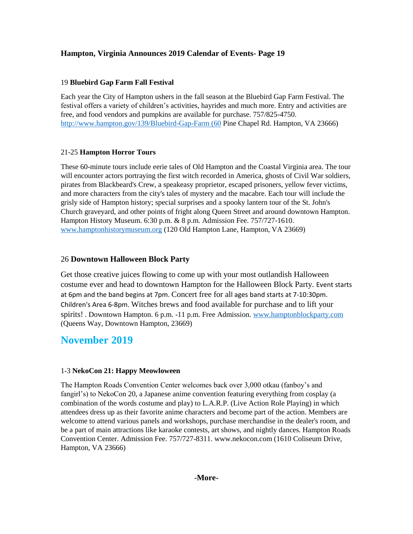#### 19 **Bluebird Gap Farm Fall Festival**

Each year the City of Hampton ushers in the fall season at the Bluebird Gap Farm Festival. The festival offers a variety of children's activities, hayrides and much more. Entry and activities are free, and food vendors and pumpkins are available for purchase. 757/825-4750. [http://www.hampton.gov/139/Bluebird-Gap-Farm \(60](http://www.hampton.gov/139/Bluebird-Gap-Farm%20(60) Pine Chapel Rd. Hampton, VA 23666)

#### 21-25 **Hampton Horror Tours**

These 60-minute tours include eerie tales of Old Hampton and the Coastal Virginia area. The tour will encounter actors portraying the first witch recorded in America, ghosts of Civil War soldiers, pirates from Blackbeard's Crew, a speakeasy proprietor, escaped prisoners, yellow fever victims, and more characters from the city's tales of mystery and the macabre. Each tour will include the grisly side of Hampton history; special surprises and a spooky lantern tour of the St. John's Church graveyard, and other points of fright along Queen Street and around downtown Hampton. Hampton History Museum. 6:30 p.m. & 8 p.m. Admission Fee. 757/727-1610. [www.hamptonhistorymuseum.org](http://www.hamptonhistorymuseum.org/) (120 Old Hampton Lane, Hampton, VA 23669)

## 26 **Downtown Halloween Block Party**

Get those creative juices flowing to come up with your most outlandish Halloween costume ever and head to downtown Hampton for the Halloween Block Party. Event starts at 6pm and the band begins at 7pm. Concert free for all ages band starts at 7-10:30pm. Children's Area 6-8pm. Witches brews and food available for purchase and to lift your spirits! . Downtown Hampton. 6 p.m. -11 p.m. Free Admission. [www.hamptonblockparty.com](http://www.hamptonblockparty.com/) (Queens Way, Downtown Hampton, 23669)

## **November 2019**

#### 1-3 **NekoCon 21: Happy Meowloween**

The Hampton Roads Convention Center welcomes back over 3,000 otkau (fanboy's and fangirl's) to NekoCon 20, a Japanese anime convention featuring everything from cosplay (a combination of the words costume and play) to L.A.R.P. (Live Action Role Playing) in which attendees dress up as their favorite anime characters and become part of the action. Members are welcome to attend various panels and workshops, purchase merchandise in the dealer's room, and be a part of main attractions like karaoke contests, art shows, and nightly dances. Hampton Roads Convention Center. Admission Fee. 757/727-8311. www.nekocon.com (1610 Coliseum Drive, Hampton, VA 23666)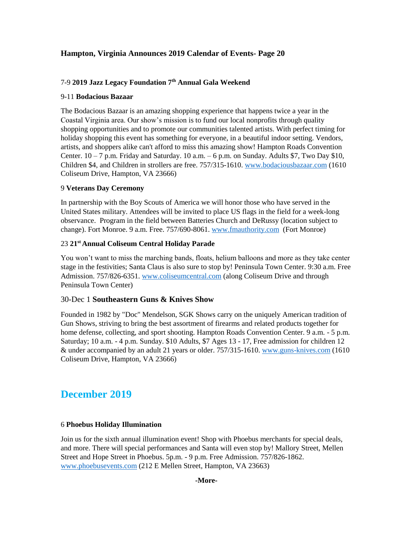## 7-9 **2019 Jazz Legacy Foundation 7th Annual Gala Weekend**

#### 9-11 **Bodacious Bazaar**

The Bodacious Bazaar is an amazing shopping experience that happens twice a year in the Coastal Virginia area. Our show's mission is to fund our local nonprofits through quality shopping opportunities and to promote our communities talented artists. With perfect timing for holiday shopping this event has something for everyone, in a beautiful indoor setting. Vendors, artists, and shoppers alike can't afford to miss this amazing show! Hampton Roads Convention Center.  $10 - 7$  p.m. Friday and Saturday.  $10$  a.m.  $-6$  p.m. on Sunday. Adults \$7, Two Day \$10, Children \$4, and Children in strollers are free. 757/315-1610. [www.bodaciousbazaar.com](http://www.bodaciousbazaar.com/) (1610 Coliseum Drive, Hampton, VA 23666)

#### 9 **Veterans Day Ceremony**

In partnership with the Boy Scouts of America we will honor those who have served in the United States military. Attendees will be invited to place US flags in the field for a week-long observance. Program in the field between Batteries Church and DeRussy (location subject to change). Fort Monroe. 9 a.m. Free. 757/690-8061. [www.fmauthority.com](http://www.fmauthority.com/) (Fort Monroe)

#### 23 **21st Annual Coliseum Central Holiday Parade**

You won't want to miss the marching bands, floats, helium balloons and more as they take center stage in the festivities; Santa Claus is also sure to stop by! Peninsula Town Center. 9:30 a.m. Free Admission. 757/826-6351. [www.coliseumcentral.com](http://www.coliseumcentral.com/) (along Coliseum Drive and through Peninsula Town Center)

#### 30-Dec 1 **Southeastern Guns & Knives Show**

Founded in 1982 by "Doc" Mendelson, SGK Shows carry on the uniquely American tradition of Gun Shows, striving to bring the best assortment of firearms and related products together for home defense, collecting, and sport shooting. Hampton Roads Convention Center. 9 a.m. - 5 p.m. Saturday; 10 a.m. - 4 p.m. Sunday. \$10 Adults, \$7 Ages 13 - 17, Free admission for children 12 & under accompanied by an adult 21 years or older. 757/315-1610. [www.guns-knives.com](http://www.guns-knives.comn/) (1610 Coliseum Drive, Hampton, VA 23666)

## **December 2019**

#### 6 **Phoebus Holiday Illumination**

Join us for the sixth annual illumination event! Shop with Phoebus merchants for special deals, and more. There will special performances and Santa will even stop by! Mallory Street, Mellen Street and Hope Street in Phoebus. 5p.m. - 9 p.m. Free Admission. 757/826-1862. [www.phoebusevents.com](http://www.phoebusevents.com/) (212 E Mellen Street, Hampton, VA 23663)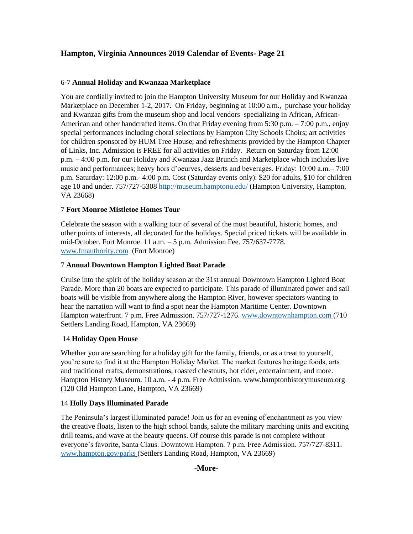#### 6-7 **Annual Holiday and Kwanzaa Marketplace**

You are cordially invited to join the Hampton University Museum for our Holiday and Kwanzaa Marketplace on December 1-2, 2017. On Friday, beginning at 10:00 a.m., purchase your holiday and Kwanzaa gifts from the museum shop and local vendors specializing in African, African-American and other handcrafted items. On that Friday evening from  $5:30$  p.m.  $-7:00$  p.m., enjoy special performances including choral selections by Hampton City Schools Choirs; art activities for children sponsored by HUM Tree House; and refreshments provided by the Hampton Chapter of Links, Inc. Admission is FREE for all activities on Friday. Return on Saturday from 12:00 p.m. – 4:00 p.m. for our Holiday and Kwanzaa Jazz Brunch and Marketplace which includes live music and performances; heavy hors d'oeurves, desserts and beverages. Friday: 10:00 a.m.– 7:00 p.m. Saturday: 12:00 p.m.- 4:00 p.m. Cost (Saturday events only): \$20 for adults, \$10 for children age 10 and under. 757/727-5308<http://museum.hamptonu.edu/> (Hampton University, Hampton, VA 23668)

#### 7 **Fort Monroe Mistletoe Homes Tour**

Celebrate the season with a walking tour of several of the most beautiful, historic homes, and other points of interests, all decorated for the holidays. Special priced tickets will be available in mid-October. Fort Monroe. 11 a.m. – 5 p.m. Admission Fee. 757/637-7778. [www.fmauthority.com](http://www.fmauthority.com/) (Fort Monroe)

#### 7 **Annual Downtown Hampton Lighted Boat Parade**

Cruise into the spirit of the holiday season at the 31st annual Downtown Hampton Lighted Boat Parade. More than 20 boats are expected to participate. This parade of illuminated power and sail boats will be visible from anywhere along the Hampton River, however spectators wanting to hear the narration will want to find a spot near the Hampton Maritime Center. Downtown Hampton waterfront. 7 p.m. Free Admission. 757/727-1276. [www.downtownhampton.com](http://www.downtownhampton.com/) (710 Settlers Landing Road, Hampton, VA 23669)

#### 14 **Holiday Open House**

Whether you are searching for a holiday gift for the family, friends, or as a treat to yourself, you're sure to find it at the Hampton Holiday Market. The market features heritage foods, arts and traditional crafts, demonstrations, roasted chestnuts, hot cider, entertainment, and more. Hampton History Museum. 10 a.m. - 4 p.m. Free Admission. www.hamptonhistorymuseum.org (120 Old Hampton Lane, Hampton, VA 23669)

#### 14 **Holly Days Illuminated Parade**

The Peninsula's largest illuminated parade! Join us for an evening of enchantment as you view the creative floats, listen to the high school bands, salute the military marching units and exciting drill teams, and wave at the beauty queens. Of course this parade is not complete without everyone's favorite, Santa Claus. Downtown Hampton. 7 p.m. Free Admission. 757/727-8311. [www.hampton.gov/parks](http://www.hampton.gov/parks) (Settlers Landing Road, Hampton, VA 23669)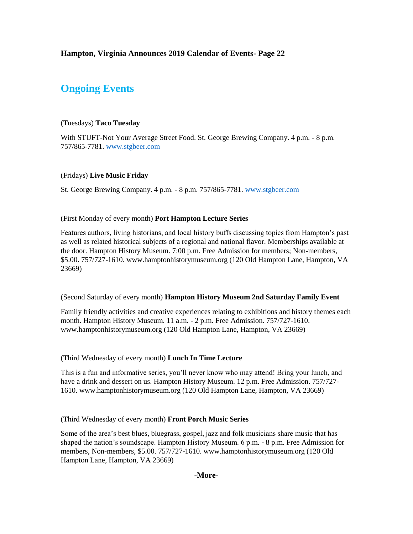## **Ongoing Events**

#### (Tuesdays) **Taco Tuesday**

With STUFT-Not Your Average Street Food. St. George Brewing Company. 4 p.m. - 8 p.m. 757/865-7781. [www.stgbeer.com](http://www.stgbeer.com/)

#### (Fridays) **Live Music Friday**

St. George Brewing Company. 4 p.m. - 8 p.m. 757/865-7781. [www.stgbeer.com](http://www.stgbeer.com/)

#### (First Monday of every month) **Port Hampton Lecture Series**

Features authors, living historians, and local history buffs discussing topics from Hampton's past as well as related historical subjects of a regional and national flavor. Memberships available at the door. Hampton History Museum. 7:00 p.m. Free Admission for members; Non-members, \$5.00. 757/727-1610. www.hamptonhistorymuseum.org (120 Old Hampton Lane, Hampton, VA 23669)

#### (Second Saturday of every month) **Hampton History Museum 2nd Saturday Family Event**

Family friendly activities and creative experiences relating to exhibitions and history themes each month. Hampton History Museum. 11 a.m. - 2 p.m. Free Admission. 757/727-1610. www.hamptonhistorymuseum.org (120 Old Hampton Lane, Hampton, VA 23669)

#### (Third Wednesday of every month) **Lunch In Time Lecture**

This is a fun and informative series, you'll never know who may attend! Bring your lunch, and have a drink and dessert on us. Hampton History Museum. 12 p.m. Free Admission. 757/727-1610. www.hamptonhistorymuseum.org (120 Old Hampton Lane, Hampton, VA 23669)

(Third Wednesday of every month) **Front Porch Music Series**

Some of the area's best blues, bluegrass, gospel, jazz and folk musicians share music that has shaped the nation's soundscape. Hampton History Museum. 6 p.m. - 8 p.m. Free Admission for members, Non-members, \$5.00. 757/727-1610. www.hamptonhistorymuseum.org (120 Old Hampton Lane, Hampton, VA 23669)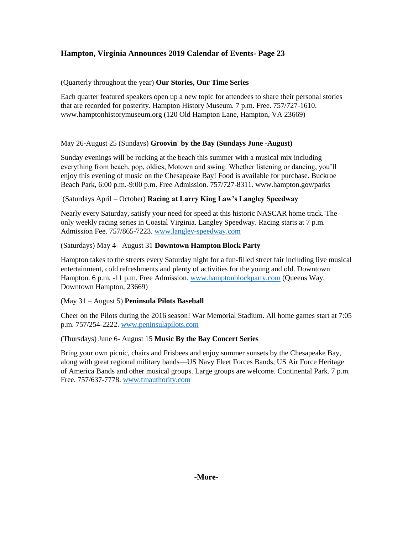### (Quarterly throughout the year) **Our Stories, Our Time Series**

Each quarter featured speakers open up a new topic for attendees to share their personal stories that are recorded for posterity. Hampton History Museum. 7 p.m. Free. 757/727-1610. www.hamptonhistorymuseum.org (120 Old Hampton Lane, Hampton, VA 23669)

## May 26-August 25 (Sundays) **Groovin' by the Bay (Sundays June -August)**

Sunday evenings will be rocking at the beach this summer with a musical mix including everything from beach, pop, oldies, Motown and swing. Whether listening or dancing, you'll enjoy this evening of music on the Chesapeake Bay! Food is available for purchase. Buckroe Beach Park, 6:00 p.m.-9:00 p.m. Free Admission. 757/727-8311. www.hampton.gov/parks

## (Saturdays April – October) **Racing at Larry King Law's Langley Speedway**

Nearly every Saturday, satisfy your need for speed at this historic NASCAR home track. The only weekly racing series in Coastal Virginia. Langley Speedway. Racing starts at 7 p.m. Admission Fee. 757/865-7223. [www.langley-speedway.com](http://www.langley-speedway.com/)

## (Saturdays) May 4- August 31 **Downtown Hampton Block Party**

Hampton takes to the streets every Saturday night for a fun-filled street fair including live musical entertainment, cold refreshments and plenty of activities for the young and old. Downtown Hampton. 6 p.m. -11 p.m. Free Admission. [www.hamptonblockparty.com](http://www.hamptonblockparty.com/) (Queens Way, Downtown Hampton, 23669)

#### (May 31 – August 5) **Peninsula Pilots Baseball**

Cheer on the Pilots during the 2016 season! War Memorial Stadium. All home games start at 7:05 p.m. 757/254-2222. [www.peninsulapilots.com](http://www.peninsulapilots.com/)

#### (Thursdays) June 6- August 15 **Music By the Bay Concert Series**

Bring your own picnic, chairs and Frisbees and enjoy summer sunsets by the Chesapeake Bay, along with great regional military bands—US Navy Fleet Forces Bands, US Air Force Heritage of America Bands and other musical groups. Large groups are welcome. Continental Park. 7 p.m. Free. 757/637-7778. [www.fmauthority.com](http://www.fmauthority.com/)